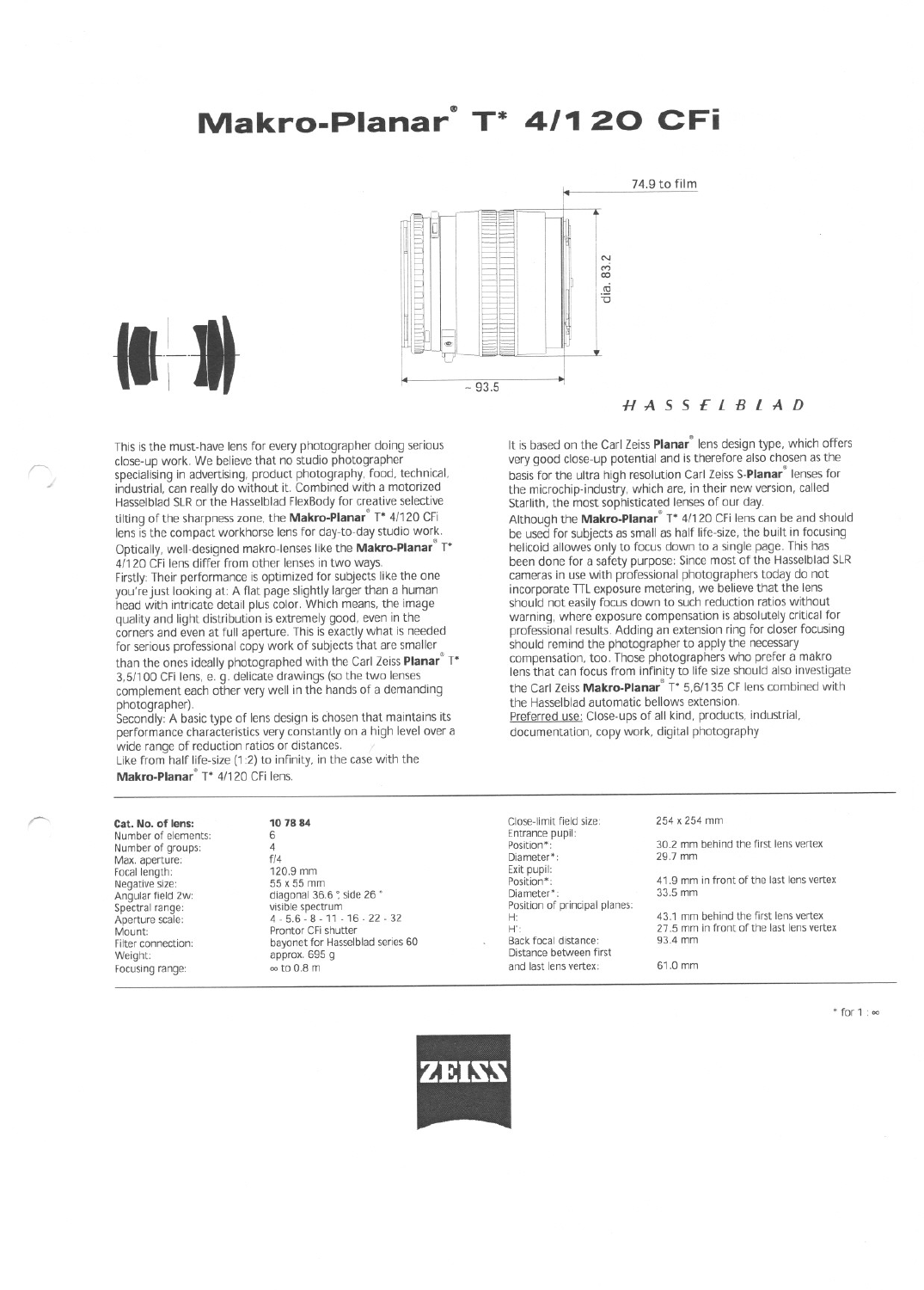# Makro-Planar<sup>\*</sup> T<sup>\*</sup> 4/120 CFi



### $H A S S E L B L A D$

It is based on the Carl Zeiss Planar<sup>®</sup> lens design type, which offers

very good close-up potential and is therefore also chosen as the

basis for the ultra high resolution Carl Zeiss S-Planar<sup>®</sup> lenses for

Although the **Makro-Planar**<sup>®</sup> T\* 4/120 CFi lens can be and should<br>be used for subjects as small as half life-size, the built in focusing

the microchip-industry, which are, in their new version, called

helicoid allowes only to focus down to a single page. This has been done for a safety purpose: Since most of the Hasselblad SLR

cameras in use with professional photographers today do not

incorporate TTL exposure metering, we believe that the lens should not easily focus down to such reduction ratios without warning, where exposure compensation is absolutely critical for professional results. Adding an extension ring for closer focusing

compensation, too. Those photographers who prefer a makro

lens that can focus from infinity to life size should also investigate

the Carl Zeiss Makro-Planar<sup>®</sup> T\* 5,6/135 CF lens combined with

should remind the photographer to apply the necessary

Preferred use: Close-ups of all kind, products, industrial,

the Hasselblad automatic bellows extension.

documentation, copy work, digital photography

Starlith, the most sophisticated lenses of our day.

This is the must-have lens for every photographer doing serious close-up work. We believe that no studio photographer specialising in advertising, product photography, food, technical, industrial, can really do without it. Combined with a motorized Hasselblad SLR or the Hasselblad FlexBody for creative selective tilting of the sharpness zone, the Makro-Planar<sup>®</sup> T\* 4/120 CFi lens is the compact workhorse lens for day-to-day studio work. Optically, well-designed makro-lenses like the Makro-Planar<sup>®</sup> T\* 4/120 CFi lens differ from other lenses in two ways. Firstly: Their performance is optimized for subjects like the one Fixed to Social Section and Continuous Contract to Social Section and Dividend With the best of the best control of the best quality and light distribution is extremely good, even in the corners and even at full aperture. This is exactly what is needed for serious professional copy work of subjects that are smaller than the ones ideally photographed with the Carl Zeiss Planar<sup>®</sup> T\* 3,5/100 CFi lens, e. g. delicate drawings (so the two lenses complement each other very well in the hands of a demanding photographer).

Secondly: A basic type of lens design is chosen that maintains its performance characteristics very constantly on a high level over a wide range of reduction ratios or distances.

Like from half life-size (1:2) to infinity, in the case with the Makro-Planar<sup>®</sup> T\* 4/120 CFi lens.

### 10 78 84

Number of elements: Number of groups: Max. aperture: Focal length: Negative size Angular field 2w: Spectral range: Aperture scale:<br>Mount: Filter connection: Weight: Focusing range:

Cat. No. of lens:

6  $\overline{4}$  $f/4$ 120.9 mm 55 x 55 mm diagonal 36.6 °, side 26 ° visible spectrum  $4 - 5.6 - 8 - 11 - 16 - 22 - 32$ Prontor CFi shutter bayonet for Hasselblad series 60 approx. 695 g  $\approx$  to 0.8 m

Close-limit field size: Entrance pupil: Position\* Diameter\* Exit pupil: Position\* Diameter\* Position of principal planes:  $H^*$ Back focal distance: Distance between first and last lens vertex

254 x 254 mm

30.2 mm behind the first lens vertex 29.7 mm

41.9 mm in front of the last lens vertex  $33.5 \, \text{mm}$ 

43.1 mm behind the first lens vertex 27.5 mm in front of the last lens vertex 93.4 mm

61.0 mm

\* for 1 : 00

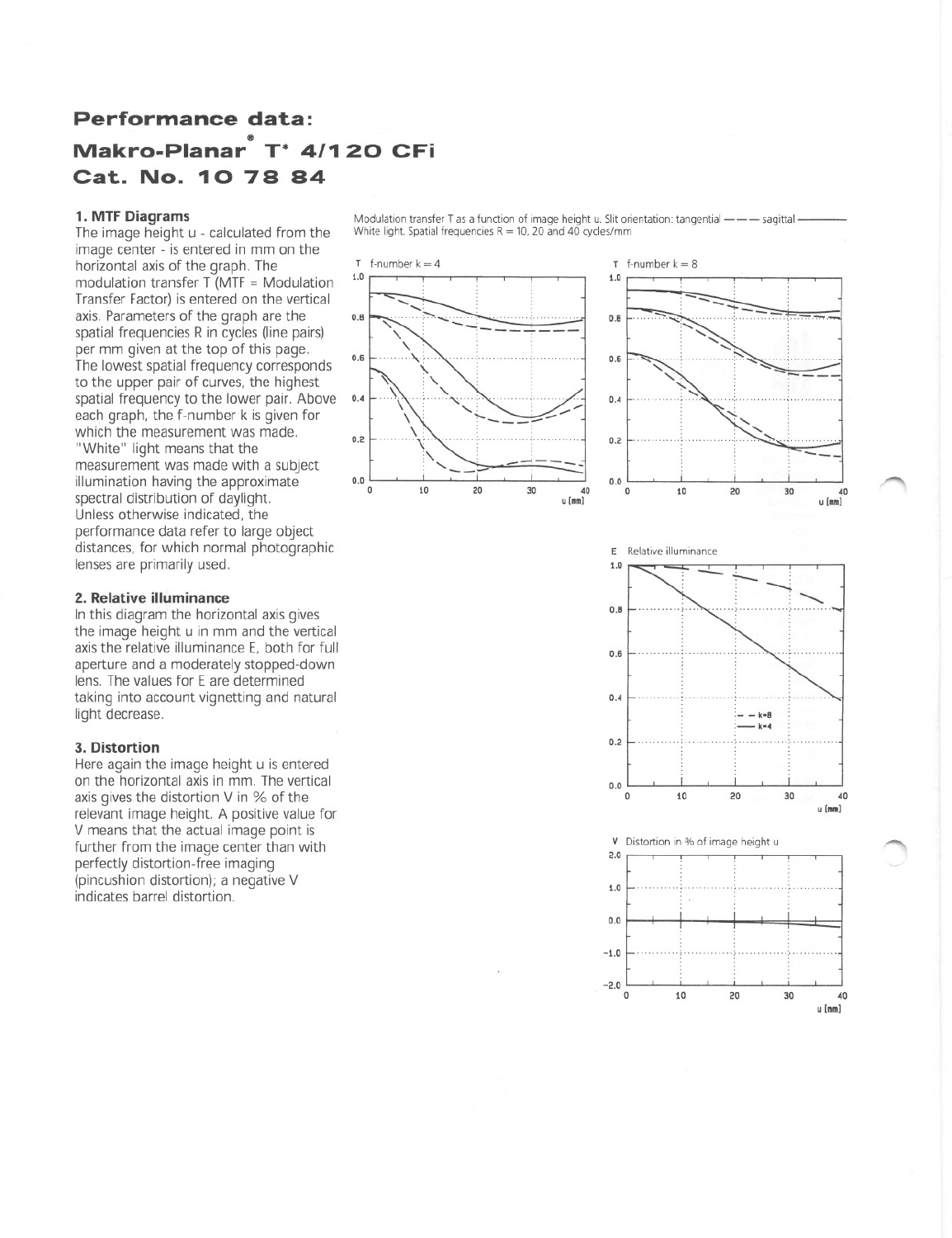## **Performance data:** 111 **Makro-Planar T\* 4/1 20 CFi Cat. No.** 10 **78 84**

### 1. MTF Diagrams

The image height u - calculated from the image center - is entered in mm on the horizontal axis of the graph. The  $\frac{1}{2}$  f-number k = 4 modulation transfer  $\overline{T}$  (MTF = Modulation Transfer Factor) is entered on the vertical axis. Parameters of the graph are the spatial frequencies R in cycles (Iine pairs) per mm given at the top of this page. The lowest spatial frequency corresponds to the upper pair of curves, the highest spatial frequency to the lower pair. Above 0.4 each graph, the f-number k is given for which the measurement was made. "White" light means that the measurement was made with a subject illumination having the approximate spectral distribution of daylight. Unless otherwise indicated, the performance data refer to large object distances, for which normal photographic lenses are primarily used.

### 2. Relative iIIuminance

In this diagram the horizontal axis gives the image height u in mm and the vertical axis the relative illuminance E, both for full aperture and a moderately stopped-down lens. The values for E are determined taking into account vignetting and natural light decrease.

### 3. Distortion

Here again the image height <sup>u</sup> is entered on the horizontal axis in mm. The vertical axis gives the distortion V in % of the relevant image height. A positive value for V means that the actual image point is further from the image center than with perfectly distortion-free imaging (pincushion distortion); a negative V indicates barrel distortion.

Modulation transfer T as a function of image height u. Slit orientation: tangential  $---$  sagittal -White light. Spatial frequencies R = 10, 20 and 40 cycles/mm







 $\subset$